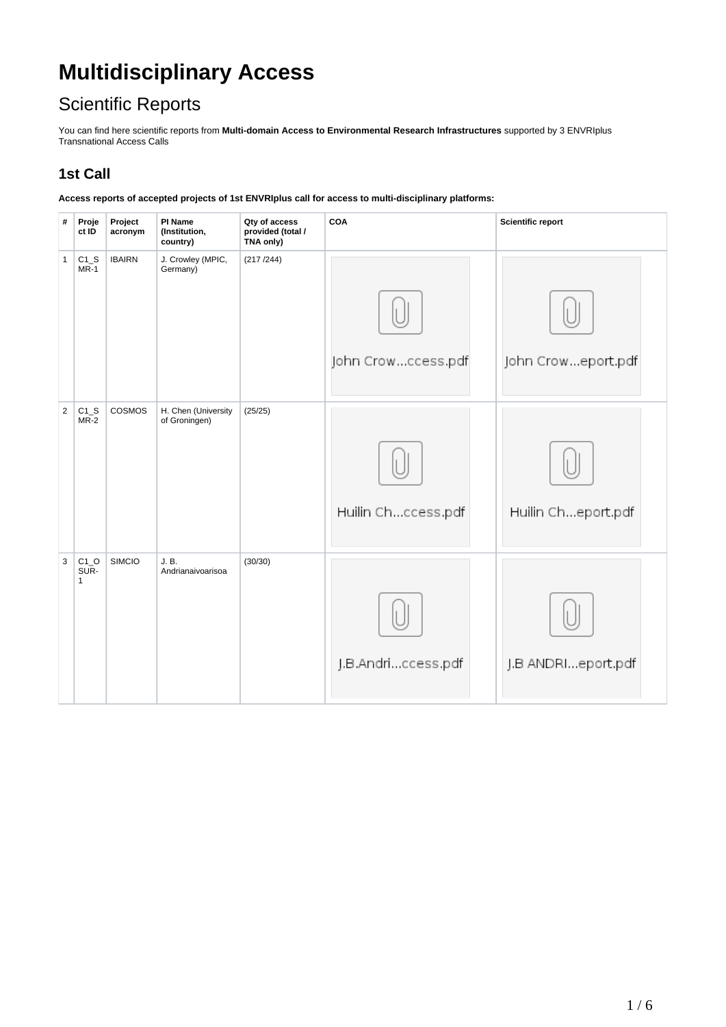# **Multidisciplinary Access**

## Scientific Reports

You can find here scientific reports from **Multi-domain Access to Environmental Research Infrastructures** supported by 3 ENVRIplus Transnational Access Calls

#### **1st Call**

**Access reports of accepted projects of 1st ENVRIplus call for access to multi-disciplinary platforms:**

| #              | Proje<br>ct ID                 | Project<br>acronym | PI Name<br>(Institution,<br>country) | Qty of access<br>provided (total /<br>TNA only) | COA                | <b>Scientific report</b> |
|----------------|--------------------------------|--------------------|--------------------------------------|-------------------------------------------------|--------------------|--------------------------|
| 1              | $C1_S$<br>$MR-1$               | <b>IBAIRN</b>      | J. Crowley (MPIC,<br>Germany)        | (217/244)                                       | John Crowccess.pdf | John Croweport.pdf       |
| $\overline{2}$ | $C1_S$<br>MR-2                 | COSMOS             | H. Chen (University<br>of Groningen) | (25/25)                                         | Huilin Chccess.pdf | Huilin Cheport.pdf       |
| $\mathbf{3}$   | $C1_O$<br>SUR-<br>$\mathbf{1}$ | <b>SIMCIO</b>      | J. B.<br>Andrianaivoarisoa           | (30/30)                                         | J.B.Andriccess.pdf | J.B ANDRIeport.pdf       |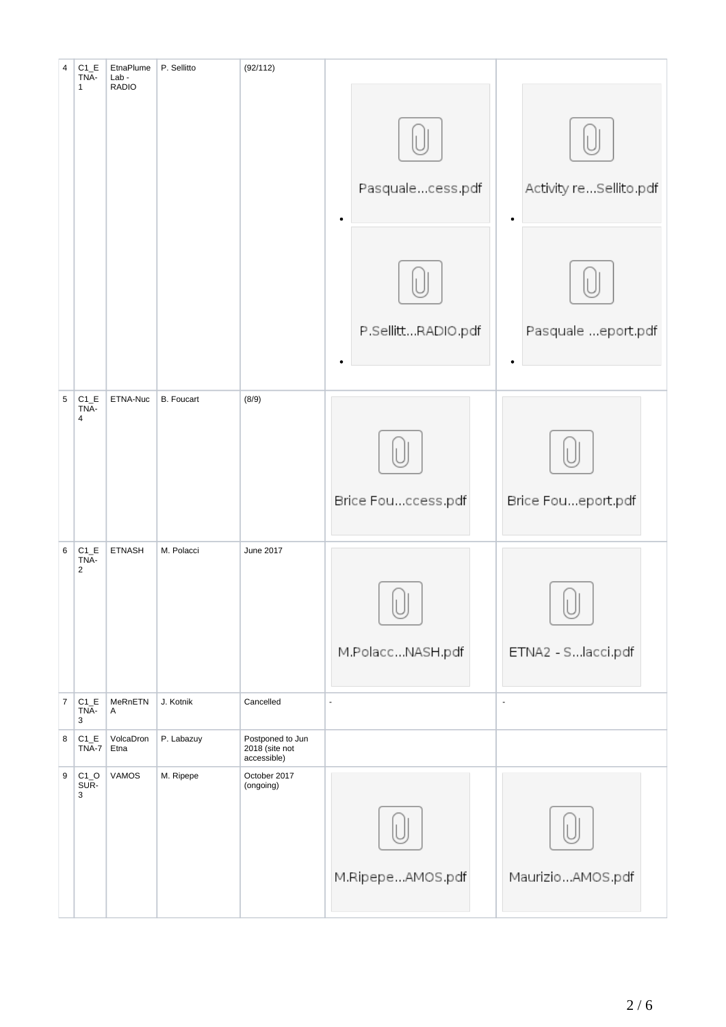| $\overline{4}$  | $C1_E$<br>TNA-<br>$\mathbf{1}$   | EtnaPlume<br>$Lab -$<br><b>RADIO</b> | P. Sellitto       | (92/112)                                          |                               |                        |
|-----------------|----------------------------------|--------------------------------------|-------------------|---------------------------------------------------|-------------------------------|------------------------|
|                 |                                  |                                      |                   |                                                   | Pasqualecess.pdf<br>$\bullet$ | Activity reSellito.pdf |
|                 |                                  |                                      |                   |                                                   | P.SellittRADIO.pdf            | Pasquale eport.pdf     |
|                 |                                  |                                      |                   |                                                   |                               |                        |
| $5\phantom{.0}$ | $C1$ <sub>-E</sub><br>TNA-       | ETNA-Nuc                             | <b>B.</b> Foucart | (8/9)                                             |                               |                        |
|                 | $\overline{4}$                   |                                      |                   |                                                   | Brice Fouccess.pdf            | Brice Foueport.pdf     |
| $\,6\,$         | $C1_E$<br>TNA-<br>$\overline{2}$ | <b>ETNASH</b>                        | M. Polacci        | June 2017                                         | M.PolaccNASH.pdf              | ETNA2 - S. lacci.pdf   |
| $\bf 7$         | $C1$ <sub>-E</sub><br>TNA-<br>3  | MeRnETN<br>A                         | J. Kotnik         | Cancelled                                         | ÷,                            | $\omega$               |
| 8               | $C1$ <sub>-E</sub><br>TNA-7      | VolcaDron<br>Etna                    | P. Labazuy        | Postponed to Jun<br>2018 (site not<br>accessible) |                               |                        |
| 9               | $C1_O$<br>SUR-<br>3              | <b>VAMOS</b>                         | M. Ripepe         | October 2017<br>(ongoing)                         | M.RipepeAMOS.pdf              | MaurizioAMOS.pdf       |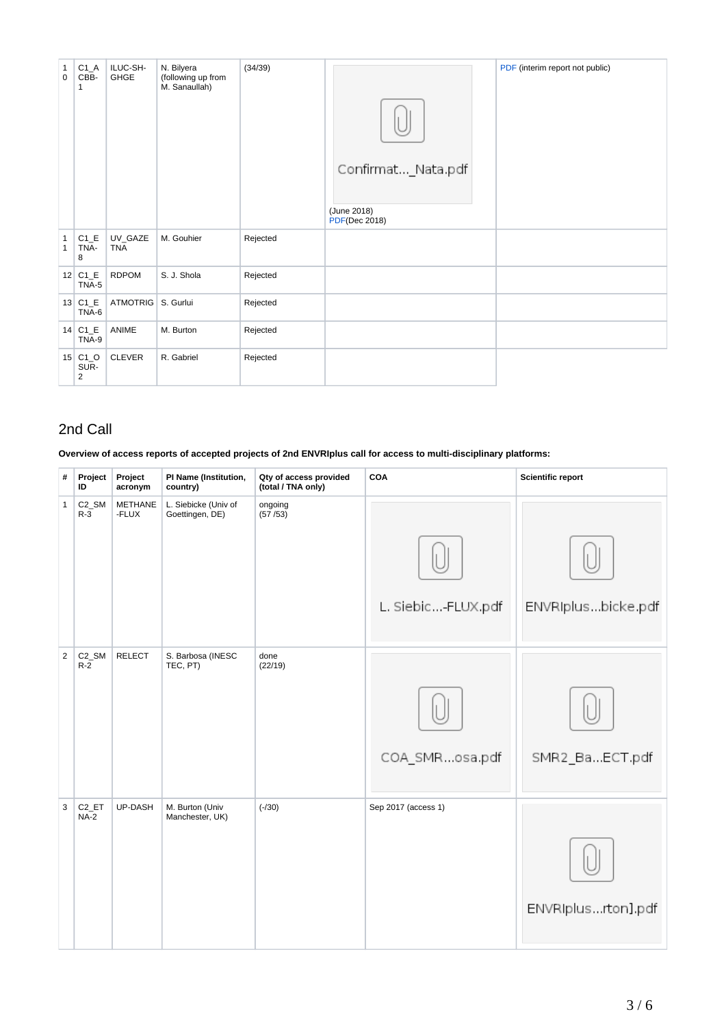| $\mathbf{1}$<br>$\mathbf 0$  | $C1_A$<br>CBB-<br>$\mathbf{1}$      | ILUC-SH-<br><b>GHGE</b> | N. Bilyera<br>(following up from<br>M. Sanaullah) | (34/39)  | Confirmat_Nata.pdf<br>(June 2018)<br><b>PDF(Dec 2018)</b> | PDF (interim report not public) |
|------------------------------|-------------------------------------|-------------------------|---------------------------------------------------|----------|-----------------------------------------------------------|---------------------------------|
| $\mathbf{1}$<br>$\mathbf{1}$ | $C1$ <sub>_</sub> E<br>TNA-<br>8    | UV_GAZE<br><b>TNA</b>   | M. Gouhier                                        | Rejected |                                                           |                                 |
|                              | $12$ C <sub>1</sub> $E$<br>TNA-5    | <b>RDPOM</b>            | S. J. Shola                                       | Rejected |                                                           |                                 |
|                              | $13$ C <sub>1</sub> $E$<br>TNA-6    | ATMOTRIG   S. Gurlui    |                                                   | Rejected |                                                           |                                 |
|                              | $14$ C <sub>1</sub> $E$<br>TNA-9    | ANIME                   | M. Burton                                         | Rejected |                                                           |                                 |
|                              | $15$ C1_O<br>SUR-<br>$\overline{2}$ | <b>CLEVER</b>           | R. Gabriel                                        | Rejected |                                                           |                                 |

#### 2nd Call

**Overview of access reports of accepted projects of 2nd ENVRIplus call for access to multi-disciplinary platforms:**

| #              | Project<br>ID                  | Project<br>acronym      | PI Name (Institution,<br>country)       | Qty of access provided<br>(total / TNA only) | COA                 | <b>Scientific report</b> |
|----------------|--------------------------------|-------------------------|-----------------------------------------|----------------------------------------------|---------------------|--------------------------|
| 1              | C <sub>2_</sub> SM<br>$R-3$    | <b>METHANE</b><br>-FLUX | L. Siebicke (Univ of<br>Goettingen, DE) | ongoing<br>(57/53)                           | L. Siebic-FLUX.pdf  | ENVRIplusbicke.pdf       |
| $\overline{a}$ | C <sub>2_</sub> SM<br>$R-2$    | <b>RELECT</b>           | S. Barbosa (INESC<br>TEC, PT)           | done<br>(22/19)                              | COA_SMRosa.pdf      | SMR2_BaECT.pdf           |
| $\mathbf{3}$   | $C2$ <sub>_</sub> ET<br>$NA-2$ | UP-DASH                 | M. Burton (Univ<br>Manchester, UK)      | $(-/30)$                                     | Sep 2017 (access 1) | ENVRIplusrton].pdf       |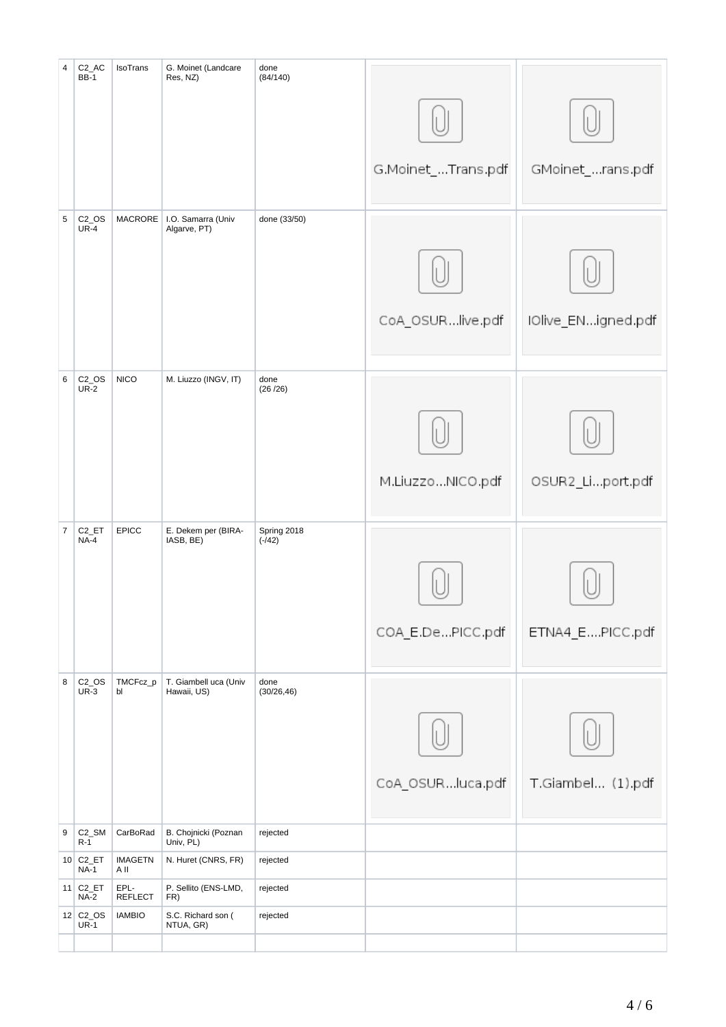| $\overline{4}$ | C <sub>2_AC</sub><br><b>BB-1</b>       | IsoTrans               | G. Moinet (Landcare<br>Res, NZ)      | done<br>(84/140)        |                    |                    |
|----------------|----------------------------------------|------------------------|--------------------------------------|-------------------------|--------------------|--------------------|
|                |                                        |                        |                                      |                         | G.Moinet_Trans.pdf | GMoinet_rans.pdf   |
| $\overline{5}$ | $C2$ _OS<br>$UR-4$                     | <b>MACRORE</b>         | I.O. Samarra (Univ<br>Algarve, PT)   | done (33/50)            | CoA_OSURlive.pdf   | IOlive_ENigned.pdf |
| 6              | $C2$ _OS<br>$UR-2$                     | <b>NICO</b>            | M. Liuzzo (INGV, IT)                 | done<br>(26/26)         | M.LiuzzoNICO.pdf   | OSUR2_Liport.pdf   |
| $\overline{7}$ | C <sub>2_ET</sub><br>$NA-4$            | <b>EPICC</b>           | E. Dekem per (BIRA-<br>IASB, BE)     | Spring 2018<br>$(-/42)$ | COA_E.DePICC.pdf   | ETNA4_EPICC.pdf    |
| 8              | $C2$ _OS<br>$UR-3$                     | TMCFcz_p<br>bl         | T. Giambell uca (Univ<br>Hawaii, US) | done<br>(30/26, 46)     | CoA_OSURluca.pdf   | T.Giambel (1).pdf  |
| 9              | C <sub>2_</sub> SM<br>$R-1$            | CarBoRad               | B. Chojnicki (Poznan<br>Univ, PL)    | rejected                |                    |                    |
|                | $10$ C <sub>2</sub> _ET<br><b>NA-1</b> | <b>IMAGETN</b><br>A II | N. Huret (CNRS, FR)                  | rejected                |                    |                    |
|                | $11$ C <sub>2</sub> _ET<br><b>NA-2</b> | EPL-<br>REFLECT        | P. Sellito (ENS-LMD,<br>FR)          | rejected                |                    |                    |
|                | $12$ C <sub>2</sub> _OS<br><b>UR-1</b> | <b>IAMBIO</b>          | S.C. Richard son (<br>NTUA, GR)      | rejected                |                    |                    |
|                |                                        |                        |                                      |                         |                    |                    |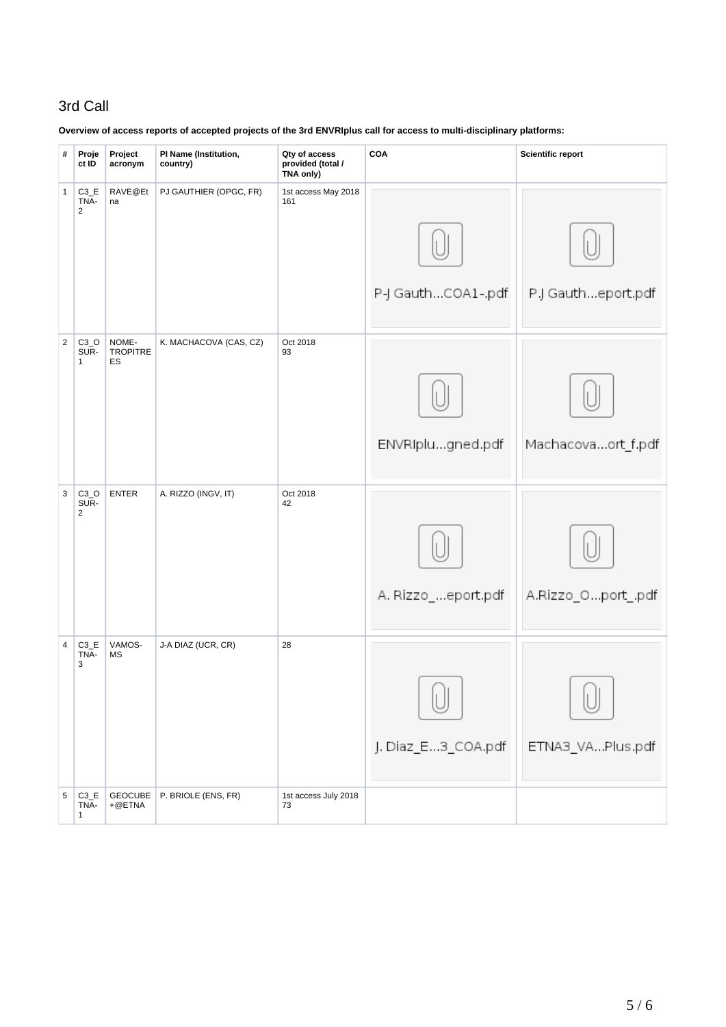### 3rd Call

| #              | Proje<br>ct ID                                | Project<br>acronym             | PI Name (Institution,<br>country) | Qty of access<br>provided (total /<br>TNA only) | COA                | <b>Scientific report</b> |
|----------------|-----------------------------------------------|--------------------------------|-----------------------------------|-------------------------------------------------|--------------------|--------------------------|
| $\mathbf{1}$   | $C3$ <sub>_</sub> E<br>TNA-<br>$\overline{2}$ | RAVE@Et<br>na                  | PJ GAUTHIER (OPGC, FR)            | 1st access May 2018<br>161                      | P-J GauthCOA1-.pdf | P.J Gautheport.pdf       |
| $\overline{2}$ | $C3_O$<br>SUR-<br>$\mathbf{1}$                | NOME-<br><b>TROPITRE</b><br>ES | K. MACHACOVA (CAS, CZ)            | Oct 2018<br>93                                  | ENVRIplugned.pdf   | Machacovaort_f.pdf       |
| 3              | $C3_0$<br>SUR-<br>$\overline{2}$              | <b>ENTER</b>                   | A. RIZZO (INGV, IT)               | Oct 2018<br>42                                  | A. Rizzo_eport.pdf | A.Rizzo_Oport_.pdf       |
| $\overline{4}$ | $C3$ <sub><math>E</math></sub><br>TNA-<br>3   | VAMOS-<br>MS                   | J-A DIAZ (UCR, CR)                | 28                                              | J. Diaz_E3_COA.pdf | ETNA3_VAPlus.pdf         |
| 5              | $C3$ <sub><math>E</math></sub><br>TNA-<br>1   | GEOCUBE<br>$+@ETMA$            | P. BRIOLE (ENS, FR)               | 1st access July 2018<br>73                      |                    |                          |